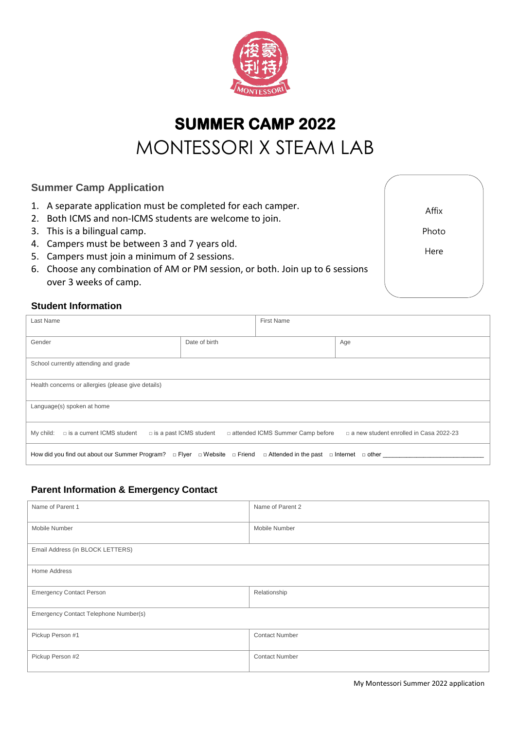

# **SUMMER CAMP 2022**  MONTESSORI X STEAM LAB

# **Summer Camp Application**

- 1. A separate application must be completed for each camper.
- 2. Both ICMS and non-ICMS students are welcome to join.
- 3. This is a bilingual camp.
- 4. Campers must be between 3 and 7 years old.
- 5. Campers must join a minimum of 2 sessions.
- 6. Choose any combination of AM or PM session, or both. Join up to 6 sessions over 3 weeks of camp.

Affix Photo

Here

## **Student Information**

| Last Name                                                                                                           | <b>First Name</b>                                                   |                                          |  |  |
|---------------------------------------------------------------------------------------------------------------------|---------------------------------------------------------------------|------------------------------------------|--|--|
| Gender                                                                                                              | Date of birth                                                       | Age                                      |  |  |
| School currently attending and grade                                                                                |                                                                     |                                          |  |  |
| Health concerns or allergies (please give details)                                                                  |                                                                     |                                          |  |  |
| Language(s) spoken at home                                                                                          |                                                                     |                                          |  |  |
| My child:<br>$\Box$ is a current ICMS student                                                                       | □ attended ICMS Summer Camp before<br>$\Box$ is a past ICMS student | □ a new student enrolled in Casa 2022-23 |  |  |
| How did you find out about our Summer Program? □ Flyer □ Website □ Friend □ Attended in the past □ Internet □ other |                                                                     |                                          |  |  |

# **Parent Information & Emergency Contact**

| Name of Parent 1                      | Name of Parent 2      |  |  |
|---------------------------------------|-----------------------|--|--|
| Mobile Number                         | Mobile Number         |  |  |
| Email Address (in BLOCK LETTERS)      |                       |  |  |
| Home Address                          |                       |  |  |
| <b>Emergency Contact Person</b>       | Relationship          |  |  |
| Emergency Contact Telephone Number(s) |                       |  |  |
| Pickup Person #1                      | <b>Contact Number</b> |  |  |
| Pickup Person #2                      | <b>Contact Number</b> |  |  |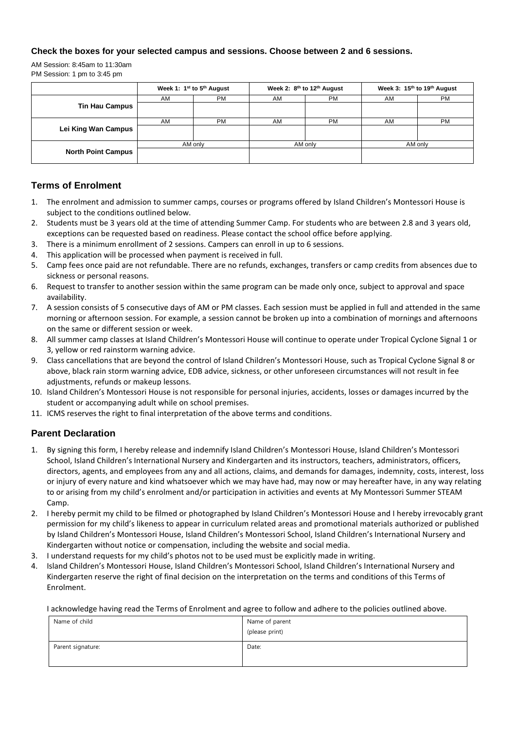#### **Check the boxes for your selected campus and sessions. Choose between 2 and 6 sessions.**

AM Session: 8:45am to 11:30am PM Session: 1 pm to 3:45 pm

|                           | Week 1: 1 <sup>st</sup> to 5 <sup>th</sup> August |           | Week 2: 8th to 12th August |           | Week 3: 15th to 19th August |           |
|---------------------------|---------------------------------------------------|-----------|----------------------------|-----------|-----------------------------|-----------|
|                           | AM                                                | <b>PM</b> | AM                         | <b>PM</b> | AM                          | <b>PM</b> |
| <b>Tin Hau Campus</b>     |                                                   |           |                            |           |                             |           |
|                           | AM                                                | <b>PM</b> | AM                         | <b>PM</b> | AM                          | <b>PM</b> |
| Lei King Wan Campus       |                                                   |           |                            |           |                             |           |
|                           | AM only                                           |           | AM only                    |           | AM only                     |           |
| <b>North Point Campus</b> |                                                   |           |                            |           |                             |           |

## **Terms of Enrolment**

- 1. The enrolment and admission to summer camps, courses or programs offered by Island Children's Montessori House is subject to the conditions outlined below.
- 2. Students must be 3 years old at the time of attending Summer Camp. For students who are between 2.8 and 3 years old, exceptions can be requested based on readiness. Please contact the school office before applying.
- 3. There is a minimum enrollment of 2 sessions. Campers can enroll in up to 6 sessions.
- 4. This application will be processed when payment is received in full.
- 5. Camp fees once paid are not refundable. There are no refunds, exchanges, transfers or camp credits from absences due to sickness or personal reasons.
- 6. Request to transfer to another session within the same program can be made only once, subject to approval and space availability.
- 7. A session consists of 5 consecutive days of AM or PM classes. Each session must be applied in full and attended in the same morning or afternoon session. For example, a session cannot be broken up into a combination of mornings and afternoons on the same or different session or week.
- 8. All summer camp classes at Island Children's Montessori House will continue to operate under Tropical Cyclone Signal 1 or 3, yellow or red rainstorm warning advice.
- 9. Class cancellations that are beyond the control of Island Children's Montessori House, such as Tropical Cyclone Signal 8 or above, black rain storm warning advice, EDB advice, sickness, or other unforeseen circumstances will not result in fee adjustments, refunds or makeup lessons.
- 10. Island Children's Montessori House is not responsible for personal injuries, accidents, losses or damages incurred by the student or accompanying adult while on school premises.
- 11. ICMS reserves the right to final interpretation of the above terms and conditions.

## **Parent Declaration**

- 1. By signing this form, I hereby release and indemnify Island Children's Montessori House, Island Children's Montessori School, Island Children's International Nursery and Kindergarten and its instructors, teachers, administrators, officers, directors, agents, and employees from any and all actions, claims, and demands for damages, indemnity, costs, interest, loss or injury of every nature and kind whatsoever which we may have had, may now or may hereafter have, in any way relating to or arising from my child's enrolment and/or participation in activities and events at My Montessori Summer STEAM Camp.
- 2. I hereby permit my child to be filmed or photographed by Island Children's Montessori House and I hereby irrevocably grant permission for my child's likeness to appear in curriculum related areas and promotional materials authorized or published by Island Children's Montessori House, Island Children's Montessori School, Island Children's International Nursery and Kindergarten without notice or compensation, including the website and social media.
- 3. I understand requests for my child's photos not to be used must be explicitly made in writing.
- 4. Island Children's Montessori House, Island Children's Montessori School, Island Children's International Nursery and Kindergarten reserve the right of final decision on the interpretation on the terms and conditions of this Terms of Enrolment.

I acknowledge having read the Terms of Enrolment and agree to follow and adhere to the policies outlined above.

| Name of child     | Name of parent<br>(please print) |
|-------------------|----------------------------------|
| Parent signature: | Date:                            |